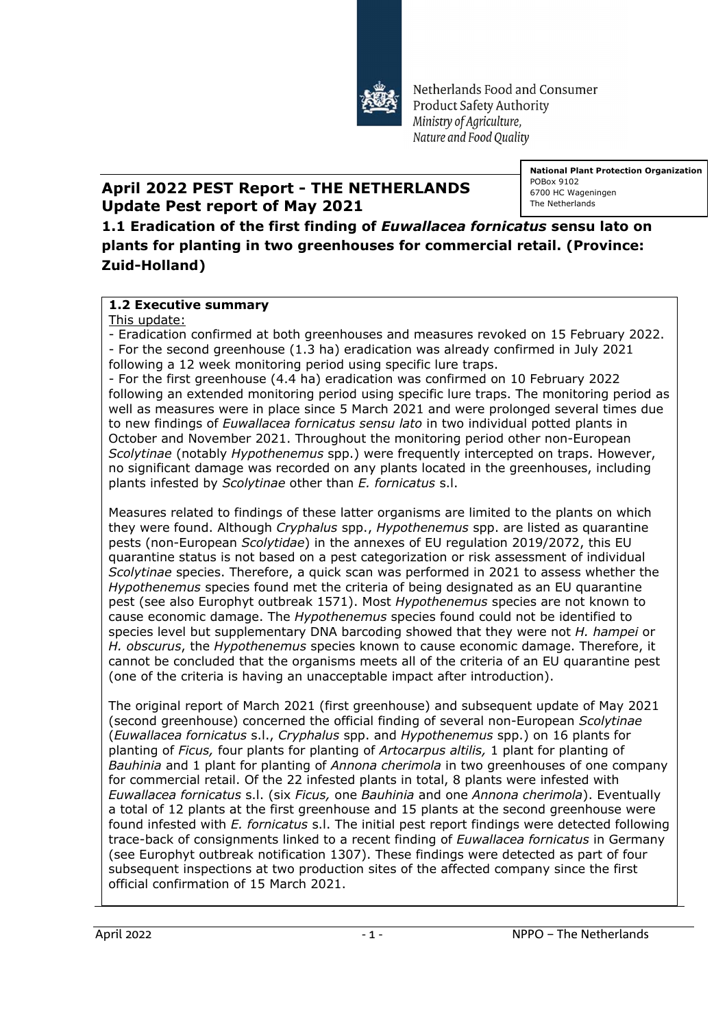

Netherlands Food and Consumer **Product Safety Authority** Ministry of Agriculture, Nature and Food Quality

## **April 2022 PEST Report - THE NETHERLANDS Update Pest report of May 2021**

**National Plant Protection Organization** POBox 9102 6700 HC Wageningen The Netherlands

**1.1 Eradication of the first finding of** *Euwallacea fornicatus* **sensu lato on plants for planting in two greenhouses for commercial retail. (Province: Zuid-Holland)**

## **1.2 Executive summary**

This update:

- Eradication confirmed at both greenhouses and measures revoked on 15 February 2022. - For the second greenhouse (1.3 ha) eradication was already confirmed in July 2021 following a 12 week monitoring period using specific lure traps.

- For the first greenhouse (4.4 ha) eradication was confirmed on 10 February 2022 following an extended monitoring period using specific lure traps. The monitoring period as well as measures were in place since 5 March 2021 and were prolonged several times due to new findings of *Euwallacea fornicatus sensu lato* in two individual potted plants in October and November 2021. Throughout the monitoring period other non-European *Scolytinae* (notably *Hypothenemus* spp.) were frequently intercepted on traps. However, no significant damage was recorded on any plants located in the greenhouses, including plants infested by *Scolytinae* other than *E. fornicatus* s.l.

Measures related to findings of these latter organisms are limited to the plants on which they were found. Although *Cryphalus* spp., *Hypothenemus* spp. are listed as quarantine pests (non-European *Scolytidae*) in the annexes of EU regulation 2019/2072, this EU quarantine status is not based on a pest categorization or risk assessment of individual *Scolytinae* species. Therefore, a quick scan was performed in 2021 to assess whether the *Hypothenemus* species found met the criteria of being designated as an EU quarantine pest (see also Europhyt outbreak 1571). Most *Hypothenemus* species are not known to cause economic damage. The *Hypothenemus* species found could not be identified to species level but supplementary DNA barcoding showed that they were not *H. hampei* or *H. obscurus*, the *Hypothenemus* species known to cause economic damage. Therefore, it cannot be concluded that the organisms meets all of the criteria of an EU quarantine pest (one of the criteria is having an unacceptable impact after introduction).

The original report of March 2021 (first greenhouse) and subsequent update of May 2021 (second greenhouse) concerned the official finding of several non-European *Scolytinae* (*Euwallacea fornicatus* s.l., *Cryphalus* spp. and *Hypothenemus* spp.) on 16 plants for planting of *Ficus,* four plants for planting of *Artocarpus altilis,* 1 plant for planting of *Bauhinia* and 1 plant for planting of *Annona cherimola* in two greenhouses of one company for commercial retail. Of the 22 infested plants in total, 8 plants were infested with *Euwallacea fornicatus* s.l. (six *Ficus,* one *Bauhinia* and one *Annona cherimola*). Eventually a total of 12 plants at the first greenhouse and 15 plants at the second greenhouse were found infested with *E. fornicatus* s.l. The initial pest report findings were detected following trace-back of consignments linked to a recent finding of *Euwallacea fornicatus* in Germany (see Europhyt outbreak notification 1307). These findings were detected as part of four subsequent inspections at two production sites of the affected company since the first official confirmation of 15 March 2021.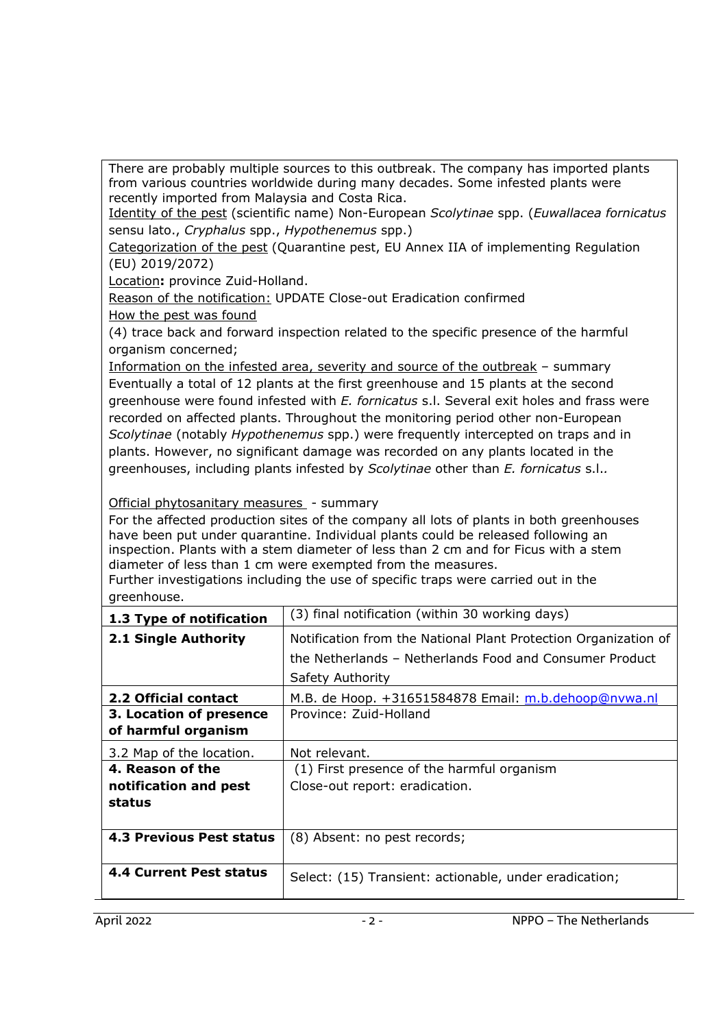There are probably multiple sources to this outbreak. The company has imported plants from various countries worldwide during many decades. Some infested plants were recently imported from Malaysia and Costa Rica.

Identity of the pest (scientific name) Non-European *Scolytinae* spp. (*Euwallacea fornicatus*  sensu lato., *Cryphalus* spp., *Hypothenemus* spp.)

Categorization of the pest (Quarantine pest, EU Annex IIA of implementing Regulation (EU) 2019/2072)

Location**:** province Zuid-Holland.

Reason of the notification: UPDATE Close-out Eradication confirmed How the pest was found

(4) trace back and forward inspection related to the specific presence of the harmful organism concerned;

Information on the infested area, severity and source of the outbreak – summary Eventually a total of 12 plants at the first greenhouse and 15 plants at the second greenhouse were found infested with *E. fornicatus* s.l. Several exit holes and frass were recorded on affected plants. Throughout the monitoring period other non-European *Scolytinae* (notably *Hypothenemus* spp.) were frequently intercepted on traps and in plants. However, no significant damage was recorded on any plants located in the greenhouses, including plants infested by *Scolytinae* other than *E. fornicatus* s.l.*.*

Official phytosanitary measures - summary

For the affected production sites of the company all lots of plants in both greenhouses have been put under quarantine. Individual plants could be released following an inspection. Plants with a stem diameter of less than 2 cm and for Ficus with a stem diameter of less than 1 cm were exempted from the measures.

Further investigations including the use of specific traps were carried out in the greenhouse.

| 1.3 Type of notification        | (3) final notification (within 30 working days)                 |
|---------------------------------|-----------------------------------------------------------------|
| 2.1 Single Authority            | Notification from the National Plant Protection Organization of |
|                                 | the Netherlands – Netherlands Food and Consumer Product         |
|                                 | Safety Authority                                                |
| 2.2 Official contact            | M.B. de Hoop. +31651584878 Email: m.b.dehoop@nvwa.nl            |
| 3. Location of presence         | Province: Zuid-Holland                                          |
| of harmful organism             |                                                                 |
| 3.2 Map of the location.        | Not relevant.                                                   |
| 4. Reason of the                | (1) First presence of the harmful organism                      |
| notification and pest           | Close-out report: eradication.                                  |
| status                          |                                                                 |
|                                 |                                                                 |
| <b>4.3 Previous Pest status</b> | (8) Absent: no pest records;                                    |
|                                 |                                                                 |
| <b>4.4 Current Pest status</b>  | Select: (15) Transient: actionable, under eradication;          |
|                                 |                                                                 |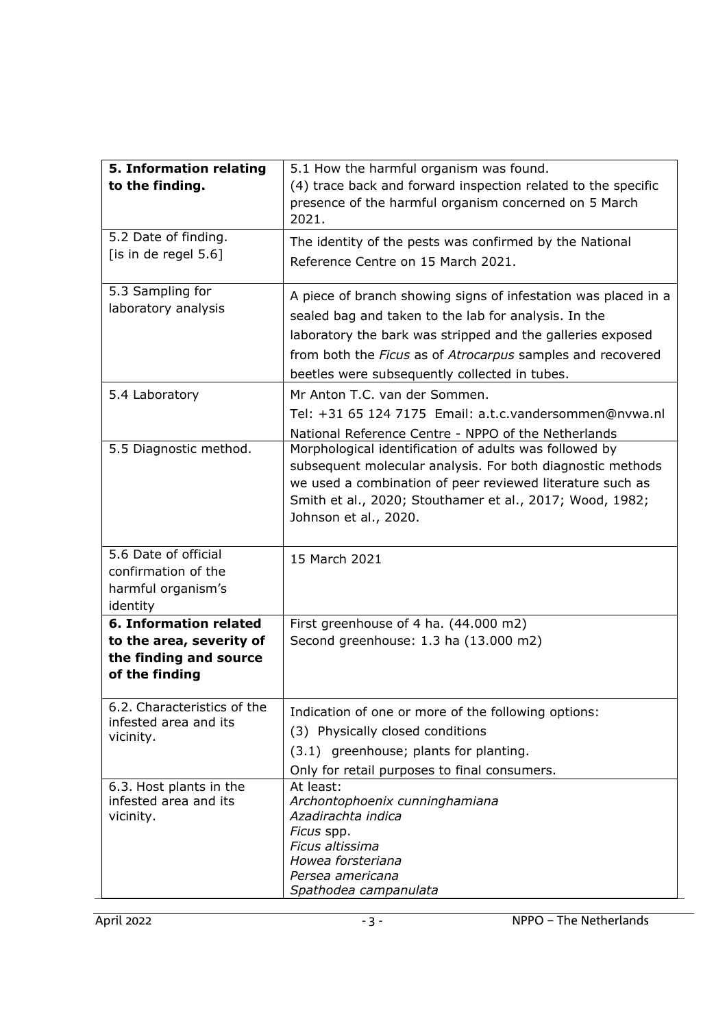| 5. Information relating<br>to the finding.                                                            | 5.1 How the harmful organism was found.<br>(4) trace back and forward inspection related to the specific<br>presence of the harmful organism concerned on 5 March<br>2021.                                                                                                                          |
|-------------------------------------------------------------------------------------------------------|-----------------------------------------------------------------------------------------------------------------------------------------------------------------------------------------------------------------------------------------------------------------------------------------------------|
| 5.2 Date of finding.<br>[is in de regel $5.6$ ]                                                       | The identity of the pests was confirmed by the National<br>Reference Centre on 15 March 2021.                                                                                                                                                                                                       |
| 5.3 Sampling for<br>laboratory analysis                                                               | A piece of branch showing signs of infestation was placed in a<br>sealed bag and taken to the lab for analysis. In the<br>laboratory the bark was stripped and the galleries exposed<br>from both the Ficus as of Atrocarpus samples and recovered<br>beetles were subsequently collected in tubes. |
| 5.4 Laboratory                                                                                        | Mr Anton T.C. van der Sommen.<br>Tel: +31 65 124 7175 Email: a.t.c.vandersommen@nvwa.nl<br>National Reference Centre - NPPO of the Netherlands                                                                                                                                                      |
| 5.5 Diagnostic method.                                                                                | Morphological identification of adults was followed by<br>subsequent molecular analysis. For both diagnostic methods<br>we used a combination of peer reviewed literature such as<br>Smith et al., 2020; Stouthamer et al., 2017; Wood, 1982;<br>Johnson et al., 2020.                              |
| 5.6 Date of official<br>confirmation of the<br>harmful organism's<br>identity                         | 15 March 2021                                                                                                                                                                                                                                                                                       |
| <b>6. Information related</b><br>to the area, severity of<br>the finding and source<br>of the finding | First greenhouse of 4 ha. (44.000 m2)<br>Second greenhouse: 1.3 ha (13.000 m2)                                                                                                                                                                                                                      |
| 6.2. Characteristics of the<br>infested area and its<br>vicinity.                                     | Indication of one or more of the following options:<br>(3) Physically closed conditions<br>(3.1) greenhouse; plants for planting.<br>Only for retail purposes to final consumers.                                                                                                                   |
| 6.3. Host plants in the<br>infested area and its<br>vicinity.                                         | At least:<br>Archontophoenix cunninghamiana<br>Azadirachta indica<br>Ficus spp.<br>Ficus altissima<br>Howea forsteriana<br>Persea americana<br>Spathodea campanulata                                                                                                                                |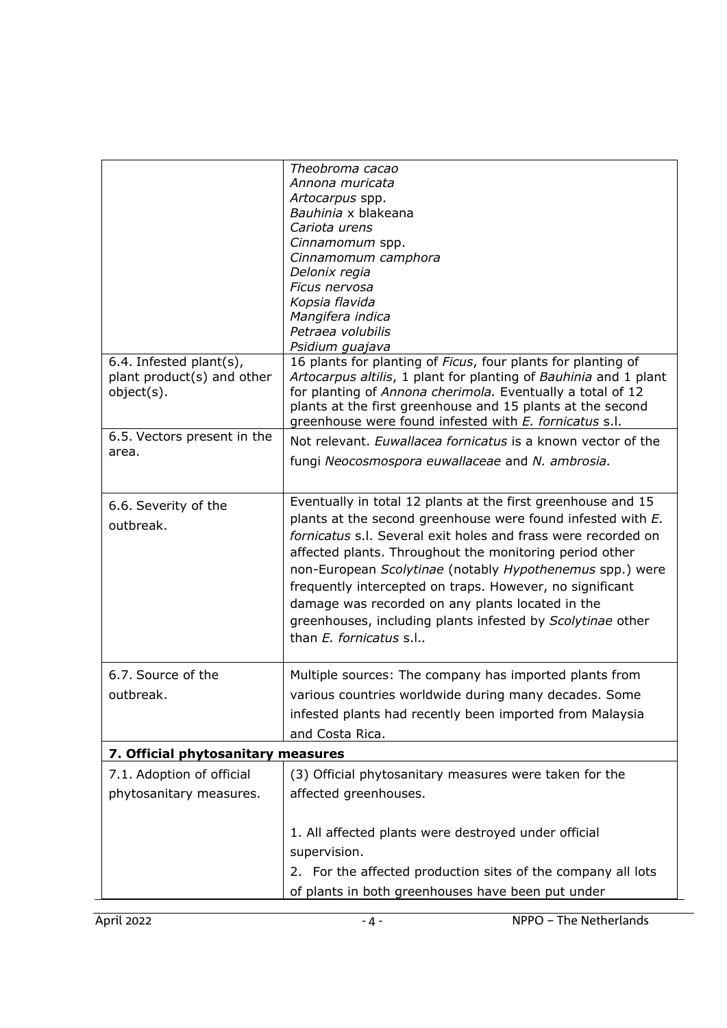| 6.4. Infested plant(s),<br>plant product(s) and other | Theobroma cacao<br>Annona muricata<br>Artocarpus spp.<br>Bauhinia x blakeana<br>Cariota urens<br>Cinnamomum spp.<br>Cinnamomum camphora<br>Delonix regia<br>Ficus nervosa<br>Kopsia flavida<br>Mangifera indica<br>Petraea volubilis<br>Psidium guajava<br>16 plants for planting of Ficus, four plants for planting of<br>Artocarpus altilis, 1 plant for planting of Bauhinia and 1 plant                                                                                                                                 |
|-------------------------------------------------------|-----------------------------------------------------------------------------------------------------------------------------------------------------------------------------------------------------------------------------------------------------------------------------------------------------------------------------------------------------------------------------------------------------------------------------------------------------------------------------------------------------------------------------|
| object(s).                                            | for planting of Annona cherimola. Eventually a total of 12<br>plants at the first greenhouse and 15 plants at the second<br>greenhouse were found infested with E. fornicatus s.l.                                                                                                                                                                                                                                                                                                                                          |
| 6.5. Vectors present in the<br>area.                  | Not relevant. Euwallacea fornicatus is a known vector of the<br>fungi Neocosmospora euwallaceae and N. ambrosia.                                                                                                                                                                                                                                                                                                                                                                                                            |
| 6.6. Severity of the<br>outbreak.                     | Eventually in total 12 plants at the first greenhouse and 15<br>plants at the second greenhouse were found infested with E.<br>fornicatus s.l. Several exit holes and frass were recorded on<br>affected plants. Throughout the monitoring period other<br>non-European Scolytinae (notably Hypothenemus spp.) were<br>frequently intercepted on traps. However, no significant<br>damage was recorded on any plants located in the<br>greenhouses, including plants infested by Scolytinae other<br>than E. fornicatus s.l |
| 6.7. Source of the<br>outbreak.                       | Multiple sources: The company has imported plants from<br>various countries worldwide during many decades. Some<br>infested plants had recently been imported from Malaysia<br>and Costa Rica.                                                                                                                                                                                                                                                                                                                              |
| 7. Official phytosanitary measures                    |                                                                                                                                                                                                                                                                                                                                                                                                                                                                                                                             |
| 7.1. Adoption of official<br>phytosanitary measures.  | (3) Official phytosanitary measures were taken for the<br>affected greenhouses.                                                                                                                                                                                                                                                                                                                                                                                                                                             |
|                                                       | 1. All affected plants were destroyed under official<br>supervision.<br>2. For the affected production sites of the company all lots<br>of plants in both greenhouses have been put under                                                                                                                                                                                                                                                                                                                                   |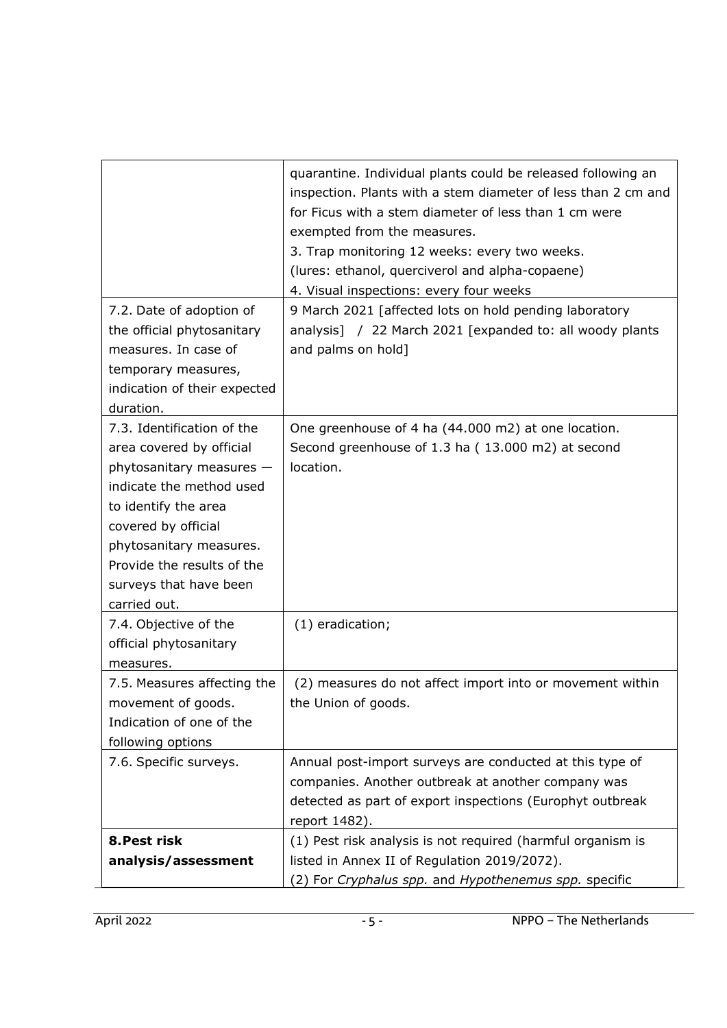| quarantine. Individual plants could be released following an  |
|---------------------------------------------------------------|
| inspection. Plants with a stem diameter of less than 2 cm and |
| for Ficus with a stem diameter of less than 1 cm were         |
| exempted from the measures.                                   |
| 3. Trap monitoring 12 weeks: every two weeks.                 |
| (lures: ethanol, querciverol and alpha-copaene)               |
| 4. Visual inspections: every four weeks                       |
| 9 March 2021 [affected lots on hold pending laboratory        |
| analysis] / 22 March 2021 [expanded to: all woody plants      |
| and palms on hold]                                            |
|                                                               |
|                                                               |
|                                                               |
| One greenhouse of 4 ha (44.000 m2) at one location.           |
| Second greenhouse of 1.3 ha (13.000 m2) at second             |
| location.                                                     |
|                                                               |
|                                                               |
|                                                               |
|                                                               |
|                                                               |
|                                                               |
|                                                               |
| (1) eradication;                                              |
|                                                               |
|                                                               |
| (2) measures do not affect import into or movement within     |
| the Union of goods.                                           |
|                                                               |
|                                                               |
| Annual post-import surveys are conducted at this type of      |
| companies. Another outbreak at another company was            |
| detected as part of export inspections (Europhyt outbreak     |
| report 1482).                                                 |
| (1) Pest risk analysis is not required (harmful organism is   |
| listed in Annex II of Regulation 2019/2072).                  |
| (2) For Cryphalus spp. and Hypothenemus spp. specific         |
|                                                               |